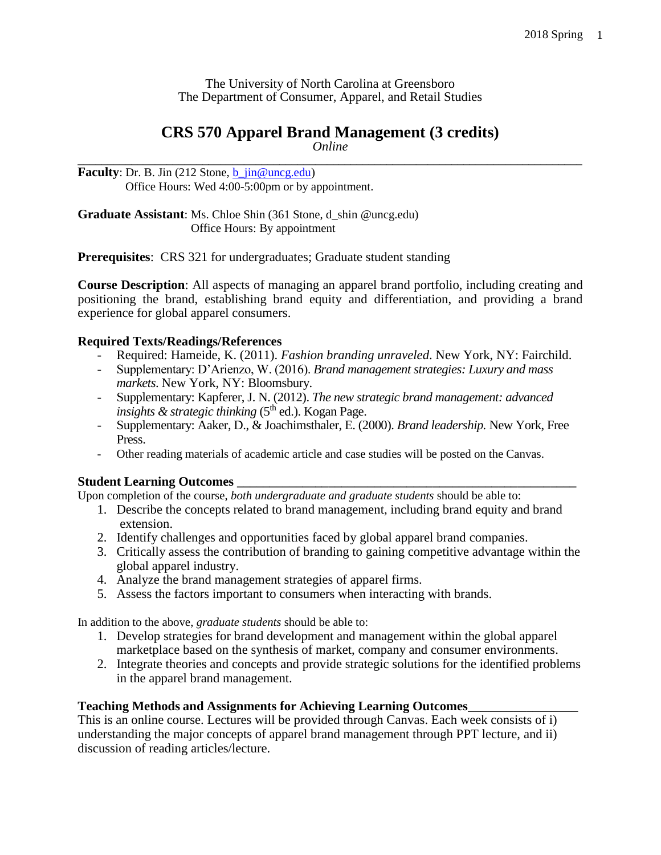The University of North Carolina at Greensboro The Department of Consumer, Apparel, and Retail Studies

# **CRS 570 Apparel Brand Management (3 credits)**

*Online* **\_\_\_\_\_\_\_\_\_\_\_\_\_\_\_\_\_\_\_\_\_\_\_\_\_\_\_\_\_\_\_\_\_\_\_\_\_\_\_\_\_\_\_\_\_\_\_\_\_\_\_\_\_\_\_\_\_\_\_\_\_\_\_\_\_\_\_\_\_\_\_\_\_\_\_\_\_\_\_\_\_\_\_\_\_**

**Faculty**: Dr. B. Jin (212 Stone,  $\underline{b}$  *jin@uncg.edu)* Office Hours: Wed 4:00-5:00pm or by appointment.

**Graduate Assistant**: Ms. Chloe Shin (361 Stone, d\_shin @uncg.edu) Office Hours: By appointment

**Prerequisites:** CRS 321 for undergraduates; Graduate student standing

**Course Description**: All aspects of managing an apparel brand portfolio, including creating and positioning the brand, establishing brand equity and differentiation, and providing a brand experience for global apparel consumers.

### **Required Texts/Readings/References**

- Required: Hameide, K. (2011). *Fashion branding unraveled*. New York, NY: Fairchild.
- Supplementary: D'Arienzo, W. (2016). *Brand management strategies: Luxury and mass markets*. New York, NY: Bloomsbury.
- Supplementary: Kapferer, J. N. (2012). *The new strategic brand management: advanced insights & strategic thinking* (5<sup>th</sup> ed.). Kogan Page.
- Supplementary: Aaker, D., & Joachimsthaler, E. (2000). *Brand leadership.* New York, Free Press.
- Other reading materials of academic article and case studies will be posted on the Canvas.

### **Student Learning Outcomes \_\_\_\_\_\_\_\_\_\_\_\_\_\_\_\_\_\_\_\_\_\_\_\_\_\_\_\_\_\_\_\_\_\_\_\_\_\_\_\_\_\_\_\_\_\_\_\_\_\_\_\_**

Upon completion of the course, *both undergraduate and graduate students* should be able to:

- 1. Describe the concepts related to brand management, including brand equity and brand extension.
- 2. Identify challenges and opportunities faced by global apparel brand companies.
- 3. Critically assess the contribution of branding to gaining competitive advantage within the global apparel industry.
- 4. Analyze the brand management strategies of apparel firms.
- 5. Assess the factors important to consumers when interacting with brands.

In addition to the above, *graduate students* should be able to:

- 1. Develop strategies for brand development and management within the global apparel marketplace based on the synthesis of market, company and consumer environments.
- 2. Integrate theories and concepts and provide strategic solutions for the identified problems in the apparel brand management.

### **Teaching Methods and Assignments for Achieving Learning Outcomes**\_\_\_\_\_\_\_\_\_\_\_\_\_\_\_\_\_

This is an online course. Lectures will be provided through Canvas. Each week consists of i) understanding the major concepts of apparel brand management through PPT lecture, and ii) discussion of reading articles/lecture.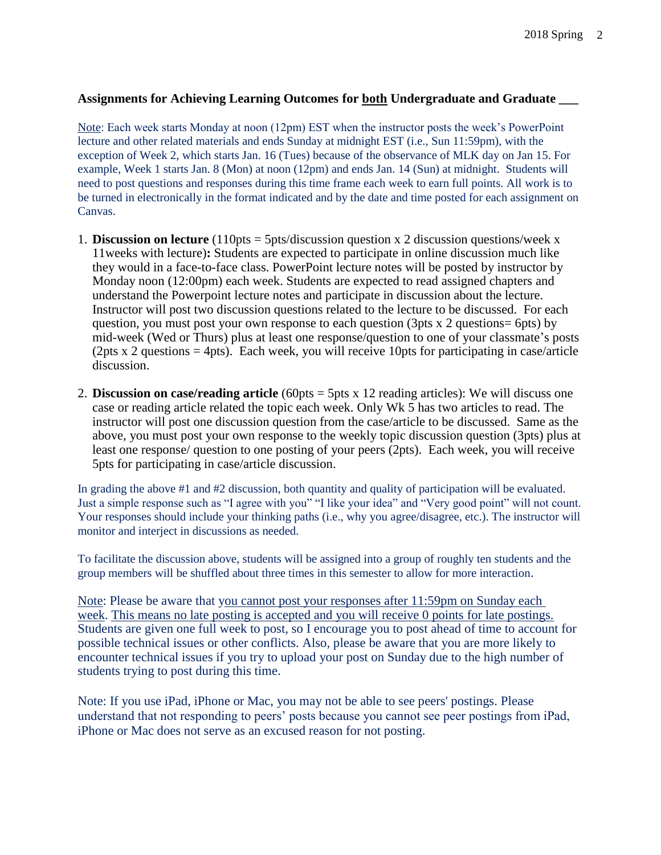### **Assignments for Achieving Learning Outcomes for both Undergraduate and Graduate \_\_\_**

Note: Each week starts Monday at noon (12pm) EST when the instructor posts the week's PowerPoint lecture and other related materials and ends Sunday at midnight EST (i.e., Sun 11:59pm), with the exception of Week 2, which starts Jan. 16 (Tues) because of the observance of MLK day on Jan 15. For example, Week 1 starts Jan. 8 (Mon) at noon (12pm) and ends Jan. 14 (Sun) at midnight. Students will need to post questions and responses during this time frame each week to earn full points. All work is to be turned in electronically in the format indicated and by the date and time posted for each assignment on Canvas.

- 1. **Discussion on lecture** (110pts = 5pts/discussion question x 2 discussion questions/week x 11weeks with lecture)**:** Students are expected to participate in online discussion much like they would in a face-to-face class. PowerPoint lecture notes will be posted by instructor by Monday noon (12:00pm) each week. Students are expected to read assigned chapters and understand the Powerpoint lecture notes and participate in discussion about the lecture. Instructor will post two discussion questions related to the lecture to be discussed. For each question, you must post your own response to each question (3pts x 2 questions= 6pts) by mid-week (Wed or Thurs) plus at least one response/question to one of your classmate's posts (2pts x 2 questions  $= 4$ pts). Each week, you will receive 10pts for participating in case/article discussion.
- 2. **Discussion on case/reading article** (60pts = 5pts x 12 reading articles): We will discuss one case or reading article related the topic each week. Only Wk 5 has two articles to read. The instructor will post one discussion question from the case/article to be discussed. Same as the above, you must post your own response to the weekly topic discussion question (3pts) plus at least one response/ question to one posting of your peers (2pts). Each week, you will receive 5pts for participating in case/article discussion.

In grading the above #1 and #2 discussion, both quantity and quality of participation will be evaluated. Just a simple response such as "I agree with you" "I like your idea" and "Very good point" will not count. Your responses should include your thinking paths (i.e., why you agree/disagree, etc.). The instructor will monitor and interject in discussions as needed.

To facilitate the discussion above, students will be assigned into a group of roughly ten students and the group members will be shuffled about three times in this semester to allow for more interaction.

Note: Please be aware that you cannot post your responses after 11:59pm on Sunday each week. This means no late posting is accepted and you will receive 0 points for late postings. Students are given one full week to post, so I encourage you to post ahead of time to account for possible technical issues or other conflicts. Also, please be aware that you are more likely to encounter technical issues if you try to upload your post on Sunday due to the high number of students trying to post during this time.

Note: If you use iPad, iPhone or Mac, you may not be able to see peers' postings. Please understand that not responding to peers' posts because you cannot see peer postings from iPad, iPhone or Mac does not serve as an excused reason for not posting.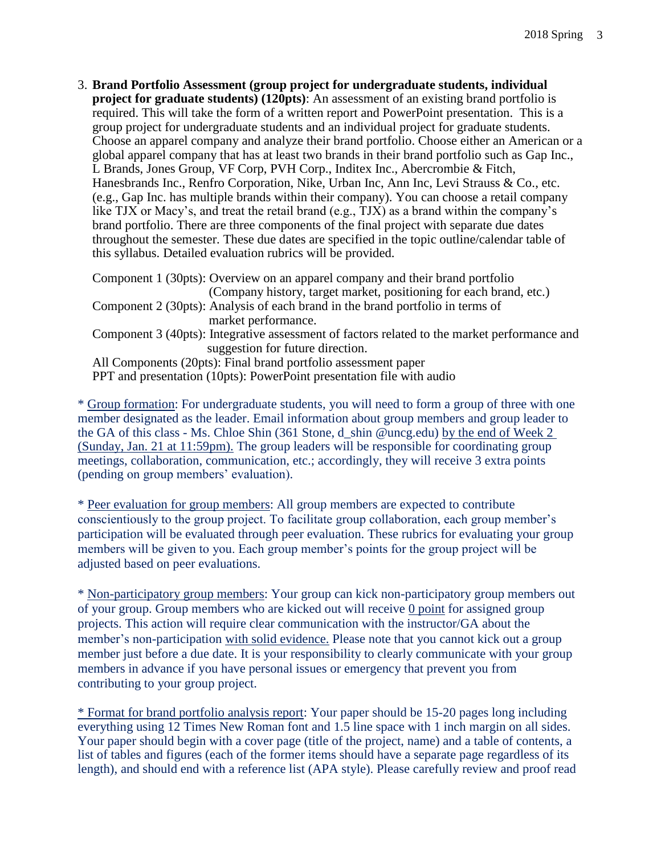3. **Brand Portfolio Assessment (group project for undergraduate students, individual project for graduate students) (120pts)**: An assessment of an existing brand portfolio is required. This will take the form of a written report and PowerPoint presentation. This is a group project for undergraduate students and an individual project for graduate students. Choose an apparel company and analyze their brand portfolio. Choose either an American or a global apparel company that has at least two brands in their brand portfolio such as Gap Inc., L Brands, Jones Group, VF Corp, PVH Corp., Inditex Inc., Abercrombie & Fitch, Hanesbrands Inc., Renfro Corporation, Nike, Urban Inc, Ann Inc, Levi Strauss & Co., etc. (e.g., Gap Inc. has multiple brands within their company). You can choose a retail company like TJX or Macy's, and treat the retail brand (e.g., TJX) as a brand within the company's brand portfolio. There are three components of the final project with separate due dates throughout the semester. These due dates are specified in the topic outline/calendar table of this syllabus. Detailed evaluation rubrics will be provided.

Component 1 (30pts): Overview on an apparel company and their brand portfolio (Company history, target market, positioning for each brand, etc.) Component 2 (30pts): Analysis of each brand in the brand portfolio in terms of market performance. Component 3 (40pts): Integrative assessment of factors related to the market performance and suggestion for future direction. All Components (20pts): Final brand portfolio assessment paper PPT and presentation (10pts): PowerPoint presentation file with audio

\* Group formation: For undergraduate students, you will need to form a group of three with one member designated as the leader. Email information about group members and group leader to the GA of this class - Ms. Chloe Shin (361 Stone, d\_shin @uncg.edu) by the end of Week 2 (Sunday, Jan. 21 at 11:59pm). The group leaders will be responsible for coordinating group meetings, collaboration, communication, etc.; accordingly, they will receive 3 extra points (pending on group members' evaluation).

\* Peer evaluation for group members: All group members are expected to contribute conscientiously to the group project. To facilitate group collaboration, each group member's participation will be evaluated through peer evaluation. These rubrics for evaluating your group members will be given to you. Each group member's points for the group project will be adjusted based on peer evaluations.

\* Non-participatory group members: Your group can kick non-participatory group members out of your group. Group members who are kicked out will receive 0 point for assigned group projects. This action will require clear communication with the instructor/GA about the member's non-participation with solid evidence. Please note that you cannot kick out a group member just before a due date. It is your responsibility to clearly communicate with your group members in advance if you have personal issues or emergency that prevent you from contributing to your group project.

\* Format for brand portfolio analysis report: Your paper should be 15-20 pages long including everything using 12 Times New Roman font and 1.5 line space with 1 inch margin on all sides. Your paper should begin with a cover page (title of the project, name) and a table of contents, a list of tables and figures (each of the former items should have a separate page regardless of its length), and should end with a reference list (APA style). Please carefully review and proof read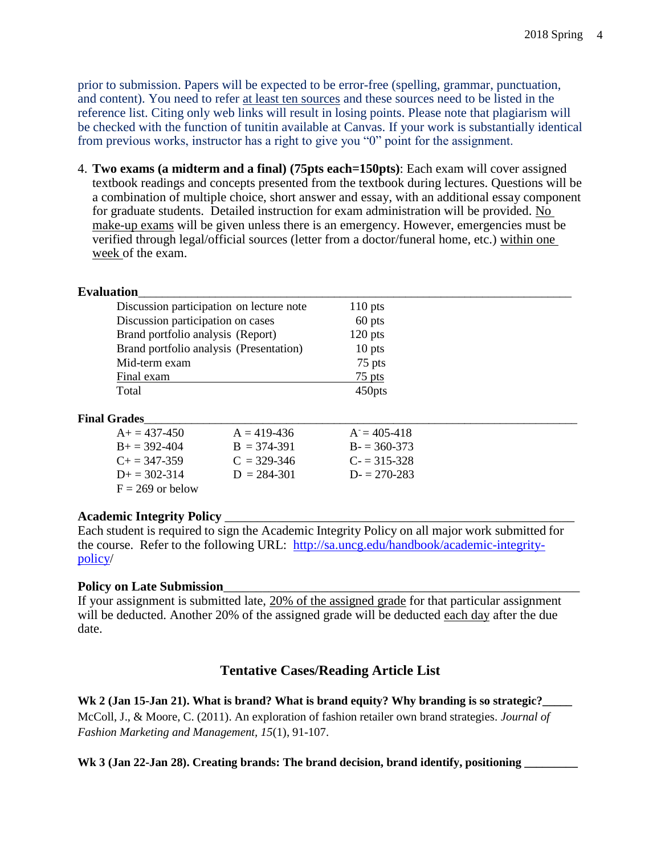prior to submission. Papers will be expected to be error-free (spelling, grammar, punctuation, and content). You need to refer at least ten sources and these sources need to be listed in the reference list. Citing only web links will result in losing points. Please note that plagiarism will be checked with the function of tunitin available at Canvas. If your work is substantially identical from previous works, instructor has a right to give you "0" point for the assignment.

4. **Two exams (a midterm and a final) (75pts each=150pts)**: Each exam will cover assigned textbook readings and concepts presented from the textbook during lectures. Questions will be a combination of multiple choice, short answer and essay, with an additional essay component for graduate students. Detailed instruction for exam administration will be provided. No make-up exams will be given unless there is an emergency. However, emergencies must be verified through legal/official sources (letter from a doctor/funeral home, etc.) within one week of the exam.

#### Evaluation

| Discussion participation on lecture note | $110$ pts |
|------------------------------------------|-----------|
| Discussion participation on cases        | 60 pts    |
| Brand portfolio analysis (Report)        | $120$ pts |
| Brand portfolio analysis (Presentation)  | $10$ pts  |
| Mid-term exam                            | 75 pts    |
| Final exam                               | 75 pts    |
| Total                                    | 450pts    |

#### **Final Grades**\_\_\_\_\_\_\_\_\_\_\_\_\_\_\_\_\_\_\_\_\_\_\_\_\_\_\_\_\_\_\_\_\_\_\_\_\_\_\_\_\_\_\_\_\_\_\_\_\_\_\_\_\_\_\_\_\_\_\_\_\_\_\_\_\_\_\_\_\_\_\_\_\_

| $A_+ = 437 - 450$     | $A = 419 - 436$ | $A = 405 - 418$ |
|-----------------------|-----------------|-----------------|
| $B_{+} = 392 - 404$   | $B = 374 - 391$ | $B = 360-373$   |
| $C_{\pm} = 347 - 359$ | $C = 329 - 346$ | $C = 315 - 328$ |
| $D_{\pm} = 302 - 314$ | $D = 284 - 301$ | $D = 270 - 283$ |
| $F = 269$ or below    |                 |                 |

#### **Academic Integrity Policy** \_\_\_\_\_\_\_\_\_\_\_\_\_\_\_\_\_\_\_\_\_\_\_\_\_\_\_\_\_\_\_\_\_\_\_\_\_\_\_\_\_\_\_\_\_\_\_\_\_\_\_\_\_\_

Each student is required to sign the Academic Integrity Policy on all major work submitted for the course. Refer to the following URL: [http://sa.uncg.edu/handbook/academic-integrity](http://www.uwsp.edu/education/lwilson/curric/newtaxonomy.htm)[policy/](http://www.uwsp.edu/education/lwilson/curric/newtaxonomy.htm)

#### **Policy on Late Submission**\_\_\_\_\_\_\_\_\_\_\_\_\_\_\_\_\_\_\_\_\_\_\_\_\_\_\_\_\_\_\_\_\_\_\_\_\_\_\_\_\_\_\_\_\_\_\_\_\_\_\_\_\_\_\_

If your assignment is submitted late, 20% of the assigned grade for that particular assignment will be deducted. Another 20% of the assigned grade will be deducted each day after the due date.

### **Tentative Cases/Reading Article List**

**Wk 2 (Jan 15-Jan 21). What is brand? What is brand equity? Why branding is so strategic?\_\_\_\_\_** McColl, J., & Moore, C. (2011). An exploration of fashion retailer own brand strategies. *Journal of Fashion Marketing and Management, 15*(1), 91-107.

Wk 3 (Jan 22-Jan 28). Creating brands: The brand decision, brand identify, positioning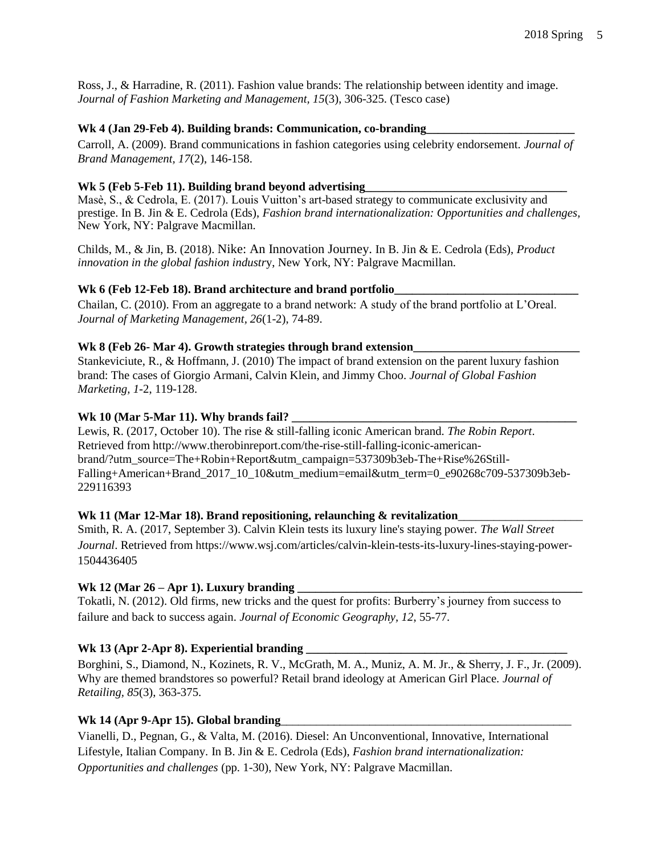Ross, J., & Harradine, R. (2011). Fashion value brands: The relationship between identity and image. *Journal of Fashion Marketing and Management, 15*(3), 306-325. (Tesco case)

#### Wk 4 (Jan 29-Feb 4). Building brands: Communication, co-branding

Carroll, A. (2009). Brand communications in fashion categories using celebrity endorsement. *Journal of Brand Management, 17*(2), 146-158.

#### Wk 5 (Feb 5-Feb 11). Building brand beyond advertising

Masè, S., & Cedrola, E. (2017). Louis Vuitton's art-based strategy to communicate exclusivity and prestige. In B. Jin & E. Cedrola (Eds), *Fashion brand internationalization: Opportunities and challenges,* New York, NY: Palgrave Macmillan.

Childs, M., & Jin, B. (2018). Nike: An Innovation Journey. In B. Jin & E. Cedrola (Eds), *Product innovation in the global fashion industr*y, New York, NY: Palgrave Macmillan.

#### Wk 6 (Feb 12-Feb 18). Brand architecture and brand portfolio\_

Chailan, C. (2010). From an aggregate to a brand network: A study of the brand portfolio at L'Oreal. *Journal of Marketing Management, 26*(1-2), 74-89.

#### Wk 8 (Feb 26- Mar 4). Growth strategies through brand extension

Stankeviciute, R., & Hoffmann, J. (2010) The impact of brand extension on the parent luxury fashion brand: The cases of Giorgio Armani, Calvin Klein, and Jimmy Choo. *Journal of Global Fashion Marketing, 1-*2, 119-128.

#### Wk 10 (Mar 5-Mar 11). Why brands fail?

Lewis, R. (2017, October 10). The rise & still-falling iconic American brand. *The Robin Report*. Retrieved from http://www.therobinreport.com/the-rise-still-falling-iconic-americanbrand/?utm\_source=The+Robin+Report&utm\_campaign=537309b3eb-The+Rise%26Still-Falling+American+Brand\_2017\_10\_10&utm\_medium=email&utm\_term=0\_e90268c709-537309b3eb-229116393

#### Wk 11 (Mar 12-Mar 18). Brand repositioning, relaunching & revitalization

Smith, R. A. (2017, September 3). Calvin Klein tests its luxury line's staying power. *The Wall Street Journal*. Retrieved from https://www.wsj.com/articles/calvin-klein-tests-its-luxury-lines-staying-power-1504436405

#### **Wk 12 (Mar 26 – Apr 1). Luxury branding**

Tokatli, N. (2012). Old firms, new tricks and the quest for profits: Burberry's journey from success to failure and back to success again. *Journal of Economic Geography, 12*, 55-77.

#### Wk 13 (Apr 2-Apr 8). Experiential branding

Borghini, S., Diamond, N., Kozinets, R. V., McGrath, M. A., Muniz, A. M. Jr., & Sherry, J. F., Jr. (2009). Why are themed brandstores so powerful? Retail brand ideology at American Girl Place. *Journal of Retailing, 85*(3), 363-375.

#### Wk 14 (Apr 9-Apr 15). Global branding

Vianelli, D., Pegnan, G., & Valta, M. (2016). Diesel: An Unconventional, Innovative, International Lifestyle, Italian Company. In B. Jin & E. Cedrola (Eds), *Fashion brand internationalization: Opportunities and challenges* (pp. 1-30), New York, NY: Palgrave Macmillan.